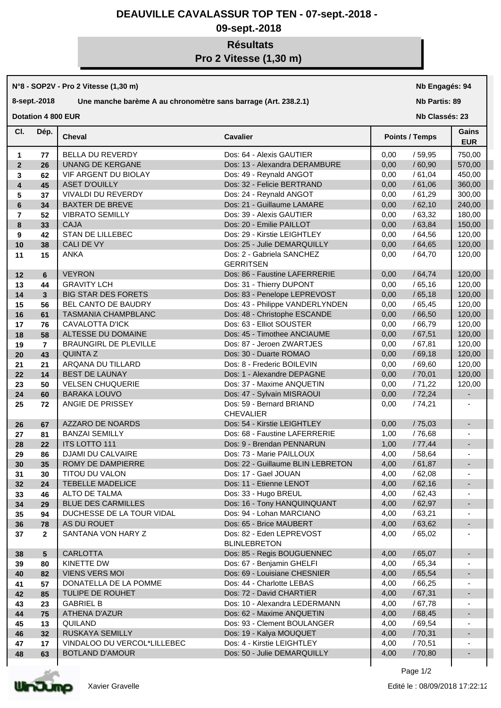## **DEAUVILLE CAVALASSUR TOP TEN - 07-sept.-2018 -**

## **09-sept.-2018**

## **Résultats**

**Pro 2 Vitesse (1,30 m)**

|                         |                         | N°8 - SOP2V - Pro 2 Vitesse (1,30 m)                           | Nb Engagés: 94                                  |                       |                |                            |  |
|-------------------------|-------------------------|----------------------------------------------------------------|-------------------------------------------------|-----------------------|----------------|----------------------------|--|
|                         | 8-sept.-2018            | Une manche barème A au chronomètre sans barrage (Art. 238.2.1) | <b>Nb Partis: 89</b>                            |                       |                |                            |  |
|                         | Dotation 4 800 EUR      |                                                                |                                                 |                       | Nb Classés: 23 |                            |  |
| CI.                     | Dép.                    | <b>Cheval</b>                                                  | <b>Cavalier</b>                                 | <b>Points / Temps</b> |                | <b>Gains</b><br><b>EUR</b> |  |
| $\mathbf{1}$            | 77                      | BELLA DU REVERDY                                               | Dos: 64 - Alexis GAUTIER                        | 0,00                  | /59,95         | 750,00                     |  |
| $\overline{2}$          | 26                      | <b>UNANG DE KERGANE</b>                                        | Dos: 13 - Alexandra DERAMBURE                   | 0,00                  | /60,90         | 570,00                     |  |
| 3                       | 62                      | VIF ARGENT DU BIOLAY                                           | Dos: 49 - Reynald ANGOT                         | 0,00                  | /61,04         | 450,00                     |  |
| $\overline{\mathbf{4}}$ | 45                      | <b>ASET D'OUILLY</b>                                           | Dos: 32 - Felicie BERTRAND                      | 0,00                  | /61,06         | 360,00                     |  |
| 5                       | 37                      | <b>VIVALDI DU REVERDY</b>                                      | Dos: 24 - Reynald ANGOT                         | 0,00                  | /61,29         | 300,00                     |  |
| 6                       | 34                      | <b>BAXTER DE BREVE</b>                                         | Dos: 21 - Guillaume LAMARE                      | 0,00                  | /62,10         | 240,00                     |  |
| $\overline{7}$          | 52                      | <b>VIBRATO SEMILLY</b>                                         | Dos: 39 - Alexis GAUTIER                        | 0,00                  | /63,32         | 180,00                     |  |
| 8                       | 33                      | <b>CAJA</b>                                                    | Dos: 20 - Emilie PAILLOT                        | 0,00                  | /63,84         | 150,00                     |  |
| 9                       | 42                      | <b>STAN DE LILLEBEC</b>                                        | Dos: 29 - Kirstie LEIGHTLEY                     | 0,00                  | /64,56         | 120,00                     |  |
| 10                      | 38                      | CALI DE VY                                                     | Dos: 25 - Julie DEMARQUILLY                     | 0,00                  | /64,65         | 120,00                     |  |
| 11                      | 15                      | <b>ANKA</b>                                                    | Dos: 2 - Gabriela SANCHEZ<br><b>GERRITSEN</b>   | 0,00                  | /64,70         | 120,00                     |  |
| 12                      | 6                       | <b>VEYRON</b>                                                  | Dos: 86 - Faustine LAFERRERIE                   | 0,00                  | /64,74         | 120,00                     |  |
| 13                      | 44                      | <b>GRAVITY LCH</b>                                             | Dos: 31 - Thierry DUPONT                        | 0,00                  | /65,16         | 120,00                     |  |
| 14                      | $\mathbf{3}$            | <b>BIG STAR DES FORETS</b>                                     | Dos: 83 - Penelope LEPREVOST                    | 0,00                  | /65,18         | 120,00                     |  |
| 15                      | 56                      | BEL CANTO DE BAUDRY                                            | Dos: 43 - Philippe VANDERLYNDEN                 | 0,00                  | /65,45         | 120,00                     |  |
| 16                      | 61                      | <b>TASMANIA CHAMPBLANC</b>                                     | Dos: 48 - Christophe ESCANDE                    | 0,00                  | /66,50         | 120,00                     |  |
| 17                      | 76                      | <b>CAVALOTTA D'ICK</b>                                         | Dos: 63 - Elliot SOUSTER                        | 0,00                  | /66,79         | 120,00                     |  |
| 18                      | 58                      | ALTESSE DU DOMAINE                                             | Dos: 45 - Timothee ANCIAUME                     | 0,00                  | /67,51         | 120,00                     |  |
| 19                      | $\overline{\mathbf{r}}$ | BRAUNGIRL DE PLEVILLE                                          | Dos: 87 - Jeroen ZWARTJES                       | 0,00                  | /67,81         | 120,00                     |  |
| 20                      | 43                      | <b>QUINTAZ</b>                                                 | Dos: 30 - Duarte ROMAO                          | 0,00                  | /69,18         | 120,00                     |  |
| 21                      | 21                      | ARQANA DU TILLARD                                              | Dos: 8 - Frederic BOILEVIN                      | 0,00                  | /69,60         | 120,00                     |  |
| 22                      | 14                      | <b>BEST DE LAUNAY</b>                                          | Dos: 1 - Alexandre DEPAGNE                      | 0,00                  | /70,01         | 120,00                     |  |
| 23                      | 50                      | <b>VELSEN CHUQUERIE</b>                                        | Dos: 37 - Maxime ANQUETIN                       | 0,00                  | /71,22         | 120,00                     |  |
| 24                      | 60                      | <b>BARAKA LOUVO</b>                                            | Dos: 47 - Sylvain MISRAOUI                      | 0,00                  | /72,24         | $\overline{\phantom{a}}$   |  |
| 25                      | 72                      | ANGIE DE PRISSEY                                               | Dos: 59 - Bernard BRIAND<br><b>CHEVALIER</b>    | 0,00                  | /74,21         |                            |  |
| 26                      | 67                      | AZZARO DE NOARDS                                               | Dos: 54 - Kirstie LEIGHTLEY                     | 0,00                  | /75,03         | $\overline{\phantom{a}}$   |  |
| 27                      | 81                      | <b>BANZAI SEMILLY</b>                                          | Dos: 68 - Faustine LAFERRERIE                   | 1,00                  | / 76,68        | $\overline{\phantom{a}}$   |  |
| 28                      | 22                      | <b>ITS LOTTO 111</b>                                           | Dos: 9 - Brendan PENNARUN                       | 1,00                  | /77,44         | $\blacksquare$             |  |
| 29                      | 86                      | <b>DJAMI DU CALVAIRE</b>                                       | Dos: 73 - Marie PAILLOUX                        | 4,00                  | /58,64         |                            |  |
| 30                      | 35                      | ROMY DE DAMPIERRE                                              | Dos: 22 - Guillaume BLIN LEBRETON               | 4,00                  | /61,87         |                            |  |
| 31                      | 30                      | <b>TITOU DU VALON</b>                                          | Dos: 17 - Gael JOUAN                            | 4,00                  | /62,08         |                            |  |
| 32                      | 24                      | <b>TEBELLE MADELICE</b>                                        | Dos: 11 - Etienne LENOT                         | 4,00                  | /62,16         | $\overline{\phantom{a}}$   |  |
| 33                      | 46                      | ALTO DE TALMA                                                  | Dos: 33 - Hugo BREUL                            | 4,00                  | /62,43         |                            |  |
| 34                      | 29                      | <b>BLUE DES CARMILLES</b>                                      | Dos: 16 - Tony HANQUINQUANT                     | 4,00                  | /62,97         | $\overline{\phantom{a}}$   |  |
| 35                      | 94                      | DUCHESSE DE LA TOUR VIDAL                                      | Dos: 94 - Lohan MARCIANO                        | 4,00                  | /63,21         | $\overline{\phantom{a}}$   |  |
| 36                      | 78                      | AS DU ROUET                                                    | Dos: 65 - Brice MAUBERT                         | 4,00                  | /63,62         | $\overline{\phantom{a}}$   |  |
| 37                      | $\mathbf{2}$            | SANTANA VON HARY Z                                             | Dos: 82 - Eden LEPREVOST<br><b>BLINLEBRETON</b> | 4,00                  | /65,02         | $\overline{\phantom{a}}$   |  |
| 38                      | $5\phantom{.0}$         | <b>CARLOTTA</b>                                                | Dos: 85 - Regis BOUGUENNEC                      | 4,00                  | /65,07         | $\overline{\phantom{a}}$   |  |
| 39                      | 80                      | KINETTE DW                                                     | Dos: 67 - Benjamin GHELFI                       | 4,00                  | /65,34         | $\overline{\phantom{a}}$   |  |
| 40                      | 82                      | <b>VIENS VERS MOI</b>                                          | Dos: 69 - Louisiane CHESNIER                    | 4,00                  | /65,54         | $\overline{\phantom{a}}$   |  |
| 41                      | 57                      | DONATELLA DE LA POMME                                          | Dos: 44 - Charlotte LEBAS                       | 4,00                  | / 66,25        | $\overline{\phantom{a}}$   |  |

**42 85** TULIPE DE ROUHET DOS: 72 - David CHARTIER 4,00 / 67,31 -**43 23** GABRIEL B Dos: 10 - Alexandra LEDERMANN 4,00 / 67,78 -

 **13** QUILAND **Dos: 93 - Clement BOULANGER 4,00** / 69,54 - **32** RUSKAYA SEMILLY Dos: 19 - Kalya MOUQUET 4,00 / 70,31 - **17** VINDALOO DU VERCOL\*LILLEBEC Dos: 4 - Kirstie LEIGHTLEY | 4,00 / 70,51 | -

**44 75** ATHENA D'AZUR DOS: 62 - Maxime ANQUETIN 4,00 / 68,45

**48 63 BOTLAND D'AMOUR DOS: 50 - Julie DEMARQUILLY 4,00 / 70,80** 



Page 1/2